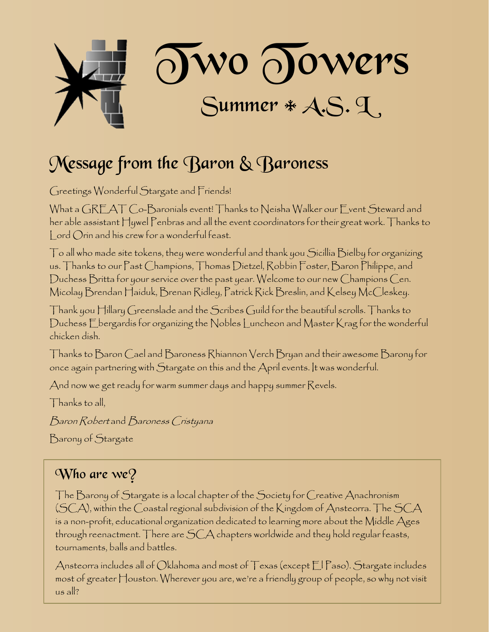

## Message from the Baron & Baroness

Greetings Wonderful Stargate and Friends!

What a GREAT Co-Baronials event! Thanks to Neisha Walker our Event Steward and her able assistant Hywel Penbras and all the event coordinators for their great work. Thanks to Lord Orin and his crew for a wonderful feast.

 $\top$ o all who made site tokens, they were wonderful and thank you Sicillia Bielby for organizing us. Thanks to our Past Champions, Thomas Dietzel, Robbin Foster, Baron Philippe, and Duchess Britta for your service over the past year. Welcome to our new Champions Cen. Micolay Brendan Haiduk, Brenan Ridley, Patrick Rick Breslin, and Kelsey McCleskey.

Thank you Hillary Greenslade and the Scribes Guild for the beautiful scrolls. Thanks to Duchess Ebergardis for organizing the Nobles Luncheon and Master Krag for the wonderful chicken dish.

Thanks to Baron Cael and Baroness Rhiannon Verch Bryan and their awesome Barony for once again partnering with Stargate on this and the April events. It was wonderful.

And now we get ready for warm summer days and happy summer Revels.

Thanks to all,

Baron Robert and Baroness Cristyana

Barony of Stargate

### Who are  $we$ ?

The Barony of Stargate is a local chapter of the Society for Creative Anachronism (SCA), within the Coastal regional subdivision of the Kingdom of Ansteorra. The SCA is a non-profit, educational organization dedicated to learning more about the Middle Ages through reenactment. There are SCA chapters worldwide and they hold regular feasts, tournaments, balls and battles.

Ansteorra includes all of Oklahoma and most of Texas (except El Paso). Stargate includes most of greater Houston. Wherever you are, we're a friendly group of people, so why not visit us all?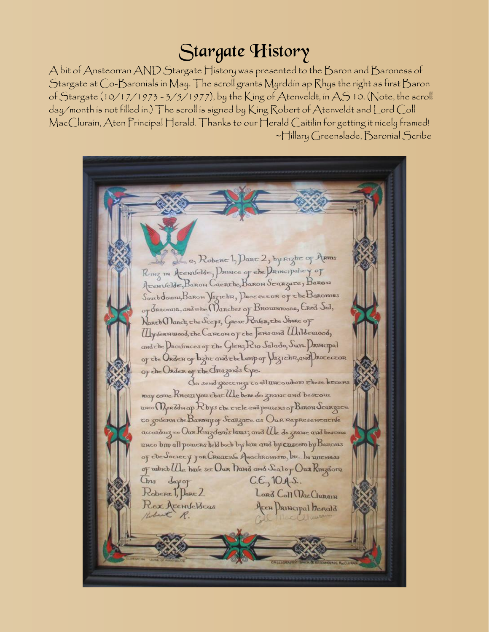## Stargate History

A bit of Ansteorran AND Stargate History was presented to the Baron and Baroness of Stargate at Co-Baronials in May. The scroll grants Myrddin ap Rhys the right as first Baron of Stargate (10/17/1973 - 3/5/1977), by the King of Atenveldt, in AS 10. (Note, the scroll day/month is not filled in.) The scroll is signed by King Robert of Atenveldt and Lord Coll MacClurain, Aten Principal Herald. Thanks to our Herald Caitilin for getting it nicely framed! ~Hillary Greenslade, Baronial Scribe

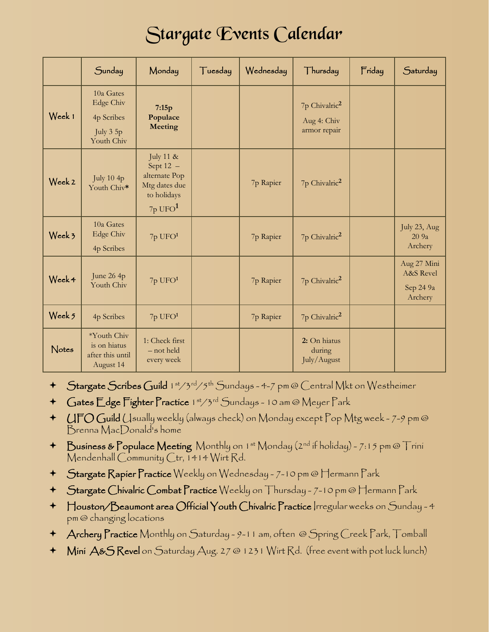## Stargate Events Calendar

|        | Sunday                                                                 | Monday                                                                                    | Tuesday | Wednesday | Thursday                                                 | Friday | Saturday                                                    |
|--------|------------------------------------------------------------------------|-------------------------------------------------------------------------------------------|---------|-----------|----------------------------------------------------------|--------|-------------------------------------------------------------|
| Week 1 | 10a Gates<br><b>Edge Chiv</b><br>4p Scribes<br>July 3 5p<br>Youth Chiv | 7:15p<br>Populace<br><b>Meeting</b>                                                       |         |           | 7p Chivalric <sup>2</sup><br>Aug 4: Chiv<br>armor repair |        |                                                             |
| Week 2 | July $10$ 4 $p$<br>Youth Chiv*                                         | July 11 &<br>Sept $12 -$<br>alternate Pop<br>Mtg dates due<br>to holidays<br>$7p$ UFO $1$ |         | 7p Rapier | 7p Chivalric <sup>2</sup>                                |        |                                                             |
| Week 3 | 10a Gates<br><b>Edge Chiv</b><br>4p Scribes                            | 7p UFO <sup>1</sup>                                                                       |         | 7p Rapier | 7p Chivalric <sup>2</sup>                                |        | July 23, Aug<br>20 9a<br>Archery                            |
| Week 4 | June 26 4p<br>Youth Chiv                                               | 7p UFO <sup>1</sup>                                                                       |         | 7p Rapier | 7p Chivalric <sup>2</sup>                                |        | Aug 27 Mini<br><b>A&amp;S</b> Revel<br>Sep 24 9a<br>Archery |
| Week 5 | 4p Scribes                                                             | $7p$ UFO $1$                                                                              |         | 7p Rapier | 7p Chivalric <sup>2</sup>                                |        |                                                             |
| Notes  | *Youth Chiv<br>is on hiatus<br>after this until<br>August 14           | 1: Check first<br>- not held<br>every week                                                |         |           | 2: On hiatus<br>during<br>July/August                    |        |                                                             |

- + Stargate Scribes Guild 1st/3rd/5th Sundays 4-7 pm @ Central Mkt on Westheimer
- + Gates Edge Fighter Practice 1st/3rd Sundays 10 am @ Meyer Park
- UFO Guild Usually weekly (always check) on Monday except Pop Mtg week 7-9 pm @ Brenna MacDonald's home
- + Business & Populace Meeting Monthly on 1st Monday (2nd if holiday) 7:15 pm @ Trini Mendenhall Community Ctr, 1414 Wirt Rd.
- Stargate Rapier Practice Weekly on Wednesday 7-10 pm @ Hermann Park
- Stargate Chivalric Combat Practice Weekly on Thursday 7-10 pm @ Hermann Park
- Houston/Beaumont area Official Youth Chivalric Practice Irregular weeks on Sunday 4 pm @ changing locations
- Archery Practice Monthly on Saturday 9-11 am, often @ Spring Creek Park, Tomball
- Mini A&S Revel on Saturday Aug. 27 @ 1231 Wirt Rd. (free event with pot luck lunch)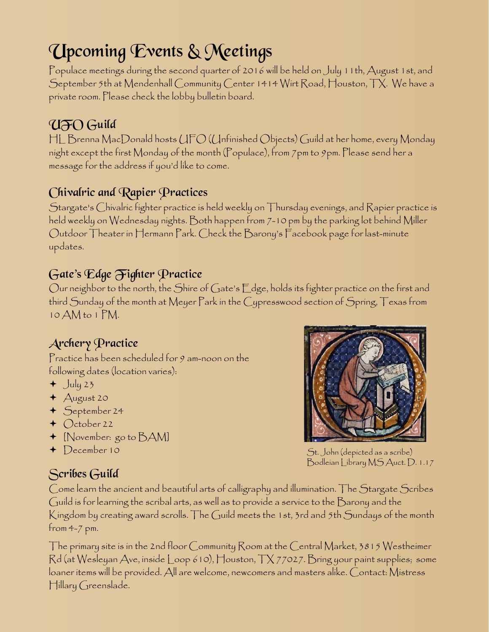# Upcoming Events & Meetings

Populace meetings during the second quarter of 2016 will be held on July 11th, August 1st, and September 5th at Mendenhall Community Center 1414 Wirt Road, Houston, TX. We have a private room. Please check the lobby bulletin board.

## UFO Guild

HL Brenna MacDonald hosts UFO (Unfinished Objects) Guild at her home, every Monday night except the first Monday of the month (Populace), from 7pm to 9pm. Please send her a message for the address if you'd like to come.

### Chivalric and Rapier Practices

Stargate's Chivalric fighter practice is held weekly on Thursday evenings, and Rapier practice is held weekly on Wednesday nights. Both happen from 7-10 pm by the parking lot behind Miller Outdoor Theater in Hermann Park. Check the Barony's Facebook page for last-minute updates.

### Gate's Edge Fighter Practice

Our neighbor to the north, the Shire of Gate's Edge, holds its fighter practice on the first and third Sunday of the month at Meyer Park in the Cypresswood section of Spring, Texas from 10 AM to 1 PM.

### Archery Practice

Practice has been scheduled for 9 am-noon on the following dates (location varies):

- $+$  July 23
- August 20
- September 24
- $\triangleleft$  October 22
- [November: go to BAM]
- + December 10





St. John (depicted as a scribe) Bodleian Library MS Auct. D. 1.17

Come learn the ancient and beautiful arts of calligraphy and illumination. The Stargate Scribes Guild is for learning the scribal arts, as well as to provide a service to the Barony and the Kingdom by creating award scrolls. The Guild meets the 1st, 3rd and 5th Sundays of the month from 4-7 pm.

The primary site is in the 2nd floor Community Room at the Central Market, 3815 Westheimer Rd (at Wesleyan Ave, inside Loop 610), Houston, TX 77027. Bring your paint supplies; some loaner items will be provided. All are welcome, newcomers and masters alike. Contact: Mistress Hillary Greenslade.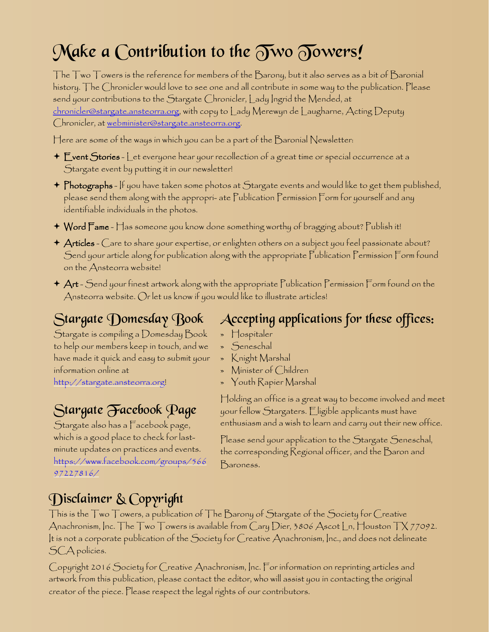# Make a Contribution to the  $\widetilde{\partial w}$   $\widetilde{\partial w}$   $\widetilde{\partial w}$

The Two Towers is the reference for members of the Barony, but it also serves as a bit of Baronial history. The Chronicler would love to see one and all contribute in some way to the publication. Please send your contributions to the Stargate Chronicler, Lady Ingrid the Mended, at [chronicler@stargate.ansteorra.org](mailto:chronicler@stargate.ansteorra.org), with copy to Lady Merewyn de Laugharne, Acting Deputy Chronicler, at [webminister@stargate.ansteorra.org.](mailto:webminister@stargate.ansteorra.org?subject=Two Towers)

Here are some of the ways in which you can be a part of the  $\mathcal B$ aronial Newsletter:

- $\div$   $\mathsf E$ vent  $\mathsf {Stories}$   $\mathsf L$ et everyone hear your recollection of a great time or special occurrence at a Stargate event by putting it in our newsletter!
- $\blacklozenge$   $\mathsf P$ hotographs If you have taken some photos at  $\mathcal S$ targate events and would like to get them published, please send them along with the appropri- ate Publication Permission Form for yourself and any identifiable individuals in the photos.
- Word Fame Has someone you know done something worthy of bragging about? Publish it!
- $\star$  Articles  $\bigcirc$ are to share your expertise, or enlighten others on a subject you feel passionate about? Send your article along for publication along with the appropriate Publication Permission Form found on the Ansteorra website!
- $\star$   $\mathsf{Art}$  Send your finest artwork along with the appropriate Publication Permission Form found on the Ansteorra website. Or let us know if you would like to illustrate articles!

## Stargate Domesday Book

Stargate is compiling a Domesday Book to help our members keep in touch, and we have made it quick and easy to submit your information online at [http://stargate.ansteorra.org](http://stargate.ansteorra.org/)!

## Stargate Facebook Page

Stargate also has a Facebook page, which is a good place to check for lastminute updates on practices and events. [https://www.facebook.com/groups/566](https://www.facebook.com/groups/56697227816/) [97227816/](https://www.facebook.com/groups/56697227816/)

### Accepting applications for these offices:

- » Hospitaler
- » Seneschal
- » Knight Marshal
- » Minister of Children
- » Youth Rapier Marshal

Holding an office is a great way to become involved and meet your fellow Stargaters. Eligible applicants must have enthusiasm and a wish to learn and carry out their new office.

Please send your application to the Stargate Seneschal, the corresponding Regional officer, and the Baron and Baroness.

### Disclaimer & Copyright

This is the Two Towers, a publication of The Barony of Stargate of the Society for Creative Anachronism, Inc. The Two Towers is available from Cary Dier, 3806 Ascot Ln, Houston TX 77092. It is not a corporate publication of the Society for Creative Anachronism, Inc., and does not delineate SCA policies.

Copyright 2016 Society for Creative Anachronism, Inc. For information on reprinting articles and artwork from this publication, please contact the editor, who will assist you in contacting the original creator of the piece. Please respect the legal rights of our contributors.